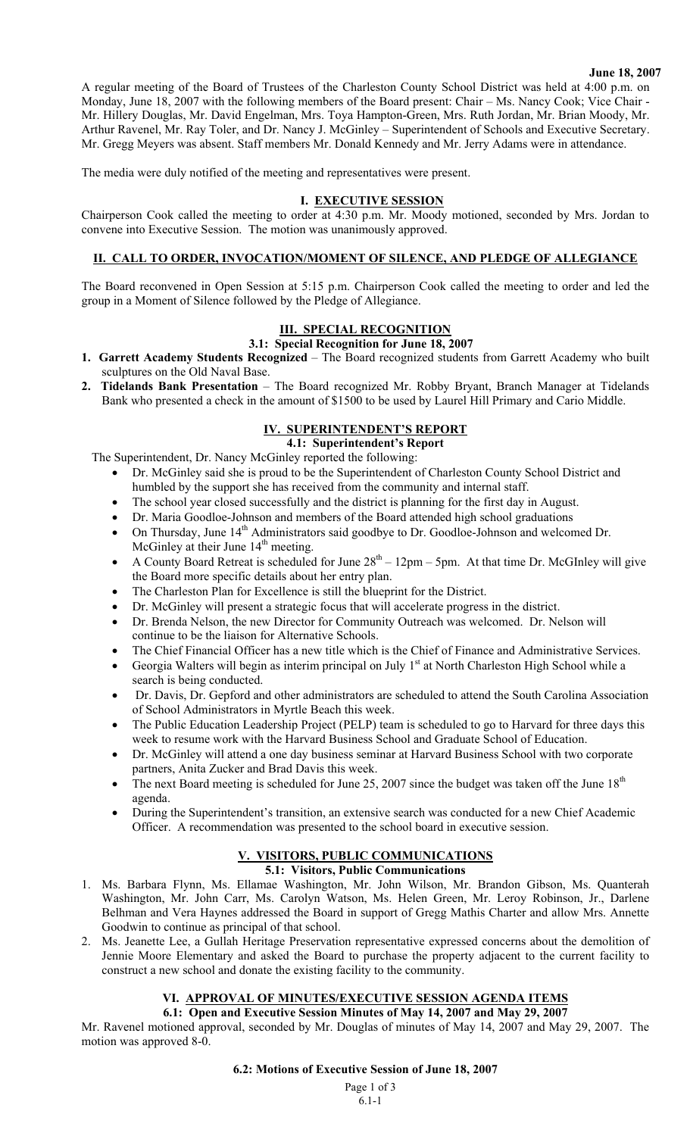#### **June 18, 2007**

A regular meeting of the Board of Trustees of the Charleston County School District was held at 4:00 p.m. on Monday, June 18, 2007 with the following members of the Board present: Chair – Ms. Nancy Cook; Vice Chair - Mr. Hillery Douglas, Mr. David Engelman, Mrs. Toya Hampton-Green, Mrs. Ruth Jordan, Mr. Brian Moody, Mr. Arthur Ravenel, Mr. Ray Toler, and Dr. Nancy J. McGinley – Superintendent of Schools and Executive Secretary. Mr. Gregg Meyers was absent. Staff members Mr. Donald Kennedy and Mr. Jerry Adams were in attendance.

The media were duly notified of the meeting and representatives were present.

### **I. EXECUTIVE SESSION**

Chairperson Cook called the meeting to order at 4:30 p.m. Mr. Moody motioned, seconded by Mrs. Jordan to convene into Executive Session. The motion was unanimously approved.

## **II. CALL TO ORDER, INVOCATION/MOMENT OF SILENCE, AND PLEDGE OF ALLEGIANCE**

The Board reconvened in Open Session at 5:15 p.m. Chairperson Cook called the meeting to order and led the group in a Moment of Silence followed by the Pledge of Allegiance.

## **III. SPECIAL RECOGNITION**

#### **3.1: Special Recognition for June 18, 2007**

- **1. Garrett Academy Students Recognized** The Board recognized students from Garrett Academy who built sculptures on the Old Naval Base.
- **2. Tidelands Bank Presentation** The Board recognized Mr. Robby Bryant, Branch Manager at Tidelands Bank who presented a check in the amount of \$1500 to be used by Laurel Hill Primary and Cario Middle.

## **IV. SUPERINTENDENT'S REPORT**

**4.1: Superintendent's Report** 

The Superintendent, Dr. Nancy McGinley reported the following:

- Dr. McGinley said she is proud to be the Superintendent of Charleston County School District and humbled by the support she has received from the community and internal staff.
- The school year closed successfully and the district is planning for the first day in August.
- Dr. Maria Goodloe-Johnson and members of the Board attended high school graduations
- On Thursday, June 14th Administrators said goodbye to Dr. Goodloe-Johnson and welcomed Dr. McGinley at their June 14<sup>th</sup> meeting.
- A County Board Retreat is scheduled for June  $28<sup>th</sup> 12pm 5pm$ . At that time Dr. McGInley will give the Board more specific details about her entry plan.
- The Charleston Plan for Excellence is still the blueprint for the District.
- Dr. McGinley will present a strategic focus that will accelerate progress in the district.
- Dr. Brenda Nelson, the new Director for Community Outreach was welcomed. Dr. Nelson will continue to be the liaison for Alternative Schools.
- The Chief Financial Officer has a new title which is the Chief of Finance and Administrative Services.
- Georgia Walters will begin as interim principal on July 1<sup>st</sup> at North Charleston High School while a search is being conducted.
- Dr. Davis, Dr. Gepford and other administrators are scheduled to attend the South Carolina Association of School Administrators in Myrtle Beach this week.
- The Public Education Leadership Project (PELP) team is scheduled to go to Harvard for three days this week to resume work with the Harvard Business School and Graduate School of Education.
- Dr. McGinley will attend a one day business seminar at Harvard Business School with two corporate partners, Anita Zucker and Brad Davis this week.
- The next Board meeting is scheduled for June 25, 2007 since the budget was taken off the June 18<sup>th</sup> agenda.
- During the Superintendent's transition, an extensive search was conducted for a new Chief Academic Officer. A recommendation was presented to the school board in executive session.

# **V. VISITORS, PUBLIC COMMUNICATIONS**

- **5.1: Visitors, Public Communications**  1. Ms. Barbara Flynn, Ms. Ellamae Washington, Mr. John Wilson, Mr. Brandon Gibson, Ms. Quanterah Washington, Mr. John Carr, Ms. Carolyn Watson, Ms. Helen Green, Mr. Leroy Robinson, Jr., Darlene Belhman and Vera Haynes addressed the Board in support of Gregg Mathis Charter and allow Mrs. Annette Goodwin to continue as principal of that school.
- 2. Ms. Jeanette Lee, a Gullah Heritage Preservation representative expressed concerns about the demolition of Jennie Moore Elementary and asked the Board to purchase the property adjacent to the current facility to construct a new school and donate the existing facility to the community.

## **VI. APPROVAL OF MINUTES/EXECUTIVE SESSION AGENDA ITEMS**

**6.1: Open and Executive Session Minutes of May 14, 2007 and May 29, 2007**  Mr. Ravenel motioned approval, seconded by Mr. Douglas of minutes of May 14, 2007 and May 29, 2007. The motion was approved 8-0.

#### **6.2: Motions of Executive Session of June 18, 2007**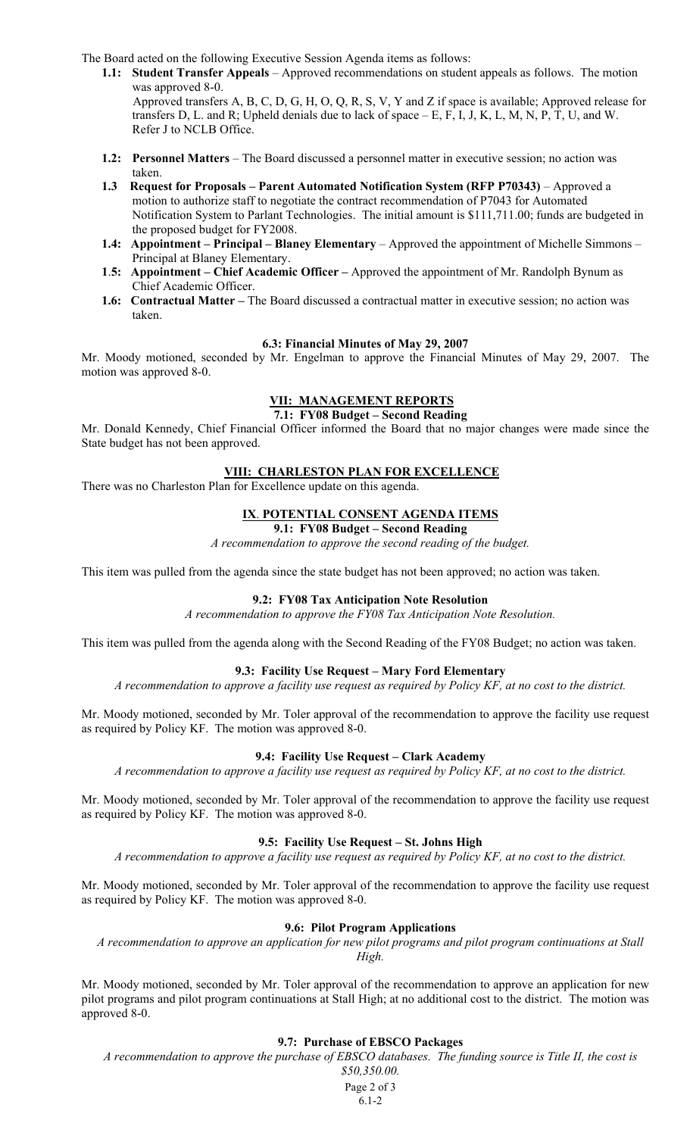The Board acted on the following Executive Session Agenda items as follows:

**1.1: Student Transfer Appeals** – Approved recommendations on student appeals as follows. The motion was approved 8-0.

Approved transfers A, B, C, D, G, H, O, Q, R, S, V, Y and Z if space is available; Approved release for transfers D, L. and R; Upheld denials due to lack of space  $-E$ , F, I, J, K, L, M, N, P, T, U, and W. Refer J to NCLB Office.

- **1.2: Personnel Matters** The Board discussed a personnel matter in executive session; no action was taken.
- **1.3 Request for Proposals Parent Automated Notification System (RFP P70343)** Approved a motion to authorize staff to negotiate the contract recommendation of P7043 for Automated Notification System to Parlant Technologies. The initial amount is \$111,711.00; funds are budgeted in the proposed budget for FY2008.
- **1.4: Appointment Principal Blaney Elementary** Approved the appointment of Michelle Simmons Principal at Blaney Elementary.
- **1**.**5: Appointment Chief Academic Officer** Approved the appointment of Mr. Randolph Bynum as Chief Academic Officer.
- **1.6: Contractual Matter The Board discussed a contractual matter in executive session; no action was** taken.

#### **6.3: Financial Minutes of May 29, 2007**

Mr. Moody motioned, seconded by Mr. Engelman to approve the Financial Minutes of May 29, 2007. The motion was approved 8-0.

## **VII: MANAGEMENT REPORTS**

**7.1: FY08 Budget – Second Reading** 

Mr. Donald Kennedy, Chief Financial Officer informed the Board that no major changes were made since the State budget has not been approved.

#### **VIII: CHARLESTON PLAN FOR EXCELLENCE**

There was no Charleston Plan for Excellence update on this agenda.

#### **IX**. **POTENTIAL CONSENT AGENDA ITEMS**

#### **9.1: FY08 Budget – Second Reading**

*A recommendation to approve the second reading of the budget.* 

This item was pulled from the agenda since the state budget has not been approved; no action was taken.

#### **9.2: FY08 Tax Anticipation Note Resolution**

*A recommendation to approve the FY08 Tax Anticipation Note Resolution.* 

This item was pulled from the agenda along with the Second Reading of the FY08 Budget; no action was taken.

## **9.3: Facility Use Request – Mary Ford Elementary**

*A recommendation to approve a facility use request as required by Policy KF, at no cost to the district.* 

Mr. Moody motioned, seconded by Mr. Toler approval of the recommendation to approve the facility use request as required by Policy KF. The motion was approved 8-0.

#### **9.4: Facility Use Request – Clark Academy**

*A recommendation to approve a facility use request as required by Policy KF, at no cost to the district.* 

Mr. Moody motioned, seconded by Mr. Toler approval of the recommendation to approve the facility use request as required by Policy KF. The motion was approved 8-0.

#### **9.5: Facility Use Request – St. Johns High**

*A recommendation to approve a facility use request as required by Policy KF, at no cost to the district.* 

Mr. Moody motioned, seconded by Mr. Toler approval of the recommendation to approve the facility use request as required by Policy KF. The motion was approved 8-0.

#### **9.6: Pilot Program Applications**

*A recommendation to approve an application for new pilot programs and pilot program continuations at Stall High.* 

Mr. Moody motioned, seconded by Mr. Toler approval of the recommendation to approve an application for new pilot programs and pilot program continuations at Stall High; at no additional cost to the district. The motion was approved 8-0.

#### **9.7: Purchase of EBSCO Packages**

*A recommendation to approve the purchase of EBSCO databases. The funding source is Title II, the cost is \$50,350.00.* 

> Page 2 of 3 6.1-2